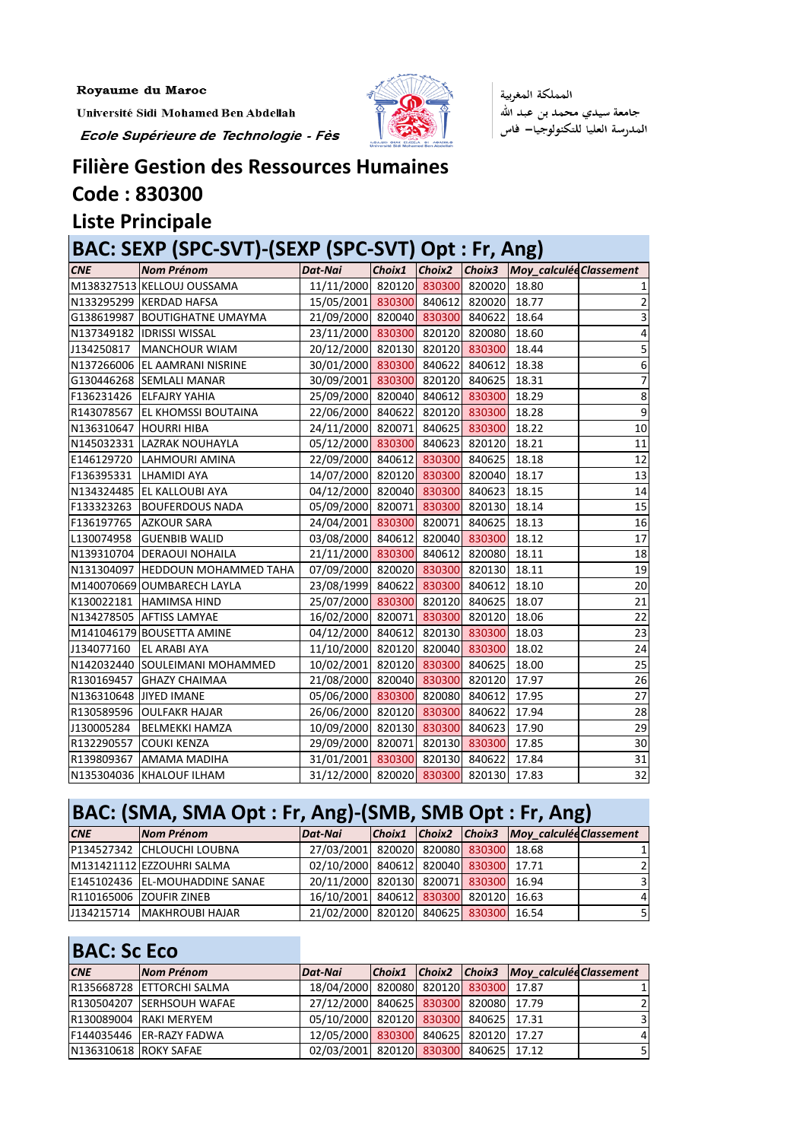Université Sidi Mohamed Ben Abdellah

Ecole Supérieure de Technologie - Fès



المملكة المغربية جامعة سيدي محمد بن عبد الله المدرسة العليا للتكنولوجيا— فاس

## **Filière Gestion des Ressources Humaines**

**Code : 830300**

#### **Liste Principale**

#### **BAC: SEXP (SPC-SVT)-(SEXP (SPC-SVT) Opt : Fr, Ang)** *CNE Nom Prénom Dat-Nai Choix1 Choix2 Choix3 Moy\_calculéeClassement* M138327513 KELLOUJ OUSSAMA 11/11/2000 820120 830300 820020 18.80 N133295299 KERDAD HAFSA 15/05/2001 <mark>830300</mark> 840612 820020 18.77 2 G138619987 BOUTIGHATNE UMAYMA | 21/09/2000 820040 830300 840622 18.64 | 3 N137349182 |IDRISSI WISSAL | 23/11/2000 830300 820120 820080 18.60 4 J134250817 |MANCHOUR WIAM | 20/12/2000| 820130| 820120| 830300| 18.44 5 N137266006 EL AAMRANI NISRINE | 30/01/2000 <mark>830300</mark> 840622 840612 18.38 | 6 G130446268 SEMLALI MANAR | 30/09/2001 <mark>830300</mark> 820120 840625 18.31 | 7 F136231426 ELFAJRY YAHIA 25/09/2000 820040 840612 830300 18.29 28 R143078567 EL KHOMSSI BOUTAINA | 22/06/2000 840622 820120 830300 18.28 | 9 N136310647 HOURRI HIBA | 24/11/2000 820071 840625 830300 18.22 10 N145032331 LAZRAK NOUHAYLA | 05/12/2000 830300 840623 820120 18.21 11 E146129720 |LAHMOURI AMINA | 22/09/2000| 840612| <mark>830300</mark>| 840625| 18.18 12 F136395331 |LHAMIDI AYA | 14/07/2000| 820120| 830300| 820040| 18.17 13 N134324485 EL KALLOUBI AYA | 04/12/2000 820040 <mark>830300</mark> 840623 18.15 | 14 F133323263 BOUFERDOUS NADA 05/09/2000 820071 <mark>830300</mark> 820130 18.14 15 F136197765 AZKOUR SARA 24/04/2001 830300 820071 840625 18.13 16 L130074958 |GUENBIB WALID | 03/08/2000| 840612| 820040<mark>| 830300|</mark> 18.12 17 N139310704 DERAOUI NOHAILA 21/11/2000 830300 840612 820080 18.11 | 18 N131304097 |HEDDOUN MOHAMMED TAHA | 07/09/2000| 820020<mark>| 830300</mark>| 820130| 18.11 19 M140070669 OUMBARECH LAYLA | 23/08/1999 840622 <mark>830300</mark> 840612 18.10 20 K130022181 HAMIMSA HIND  $\begin{array}{|c|c|c|c|c|c|}\hline 25/07/2000& 830300& 820120& 840625& 18.07 \ \hline \end{array}$  21 N134278505 AFTISS LAMYAE 16/02/2000 820071 830300 820120 18.06 22 M141046179 BOUSETTA AMINE  $\begin{array}{|c|c|c|c|c|c|c|c|c|}\n\hline\n04/12/2000 & 840612 & 820130 & 830300 & 18.03\n\end{array}$ J134077160 |EL ARABI AYA | 11/10/2000 820120 820040 830300 18.02 24 N142032440 SOULEIMANI MOHAMMED 10/02/2001 820120 830300 840625 18.00 25 R130169457 GHAZY CHAIMAA 21/08/2000 820040 830300 820120 17.97 26 N136310648 JIYED IMANE 05/06/2000 830300 820080 840612 17.95 27 R130589596 OULFAKR HAJAR | 26/06/2000 820120 830300 840622 17.94 | 28 J130005284 BELMEKKI HAMZA | 10/09/2000 820130 830300 840623 17.90 29 R132290557 COUKI KENZA 29/09/2000 820071 820130 830300 17.85 30 R139809367 |AMAMA MADIHA | 31/01/2001<mark>| 830300</mark>| 820130| 840622| 17.84 31 N135304036 KHALOUF ILHAM | 31/12/2000 820020 830300 820130 17.83 32

### **BAC: (SMA, SMA Opt : Fr, Ang)-(SMB, SMB Opt : Fr, Ang)**

| <b>CNE</b> | Nom Prénom                     | Dat-Nai                               |  | Choix1 Choix2 Choix3 Moy_calculée Classement |                |
|------------|--------------------------------|---------------------------------------|--|----------------------------------------------|----------------|
|            | P134527342 CHLOUCHI LOUBNA     | 27/03/2001 820020 820080 830300 18.68 |  |                                              | 11             |
|            | M131421112 EZZOUHRI SALMA      | 02/10/2000 840612 820040 830300 17.71 |  |                                              | 21             |
|            | E145102436 EL-MOUHADDINE SANAE | 20/11/2000 820130 820071 830300 16.94 |  |                                              | $\overline{3}$ |
|            | R110165006 ZOUFIR ZINEB        | 16/10/2001 840612 830300 820120 16.63 |  |                                              | 41             |
|            | J134215714   MAKHROUBI HAJAR   | 21/02/2000 820120 840625 830300 16.54 |  |                                              | 51             |

#### **BAC: Sc Eco**

| <b>CNE</b>            | Nom Prénom                | Dat-Nai                               |  | Choix1 Choix2 Choix3 Moy calculéd Classement |                |
|-----------------------|---------------------------|---------------------------------------|--|----------------------------------------------|----------------|
|                       | R135668728 ETTORCHI SALMA | 18/04/2000 820080 820120 830300 17.87 |  |                                              | 11             |
|                       | R130504207 SERHSOUH WAFAE | 27/12/2000 840625 830300 820080 17.79 |  |                                              | 21             |
|                       | R130089004 RAKI MERYEM    | 05/10/2000 820120 830300 840625 17.31 |  |                                              | $\overline{3}$ |
|                       | F144035446 ER-RAZY FADWA  | 12/05/2000 830300 840625 820120 17.27 |  |                                              | 41             |
| N136310618 ROKY SAFAE |                           | 02/03/2001 820120 830300 840625 17.12 |  |                                              | 51             |